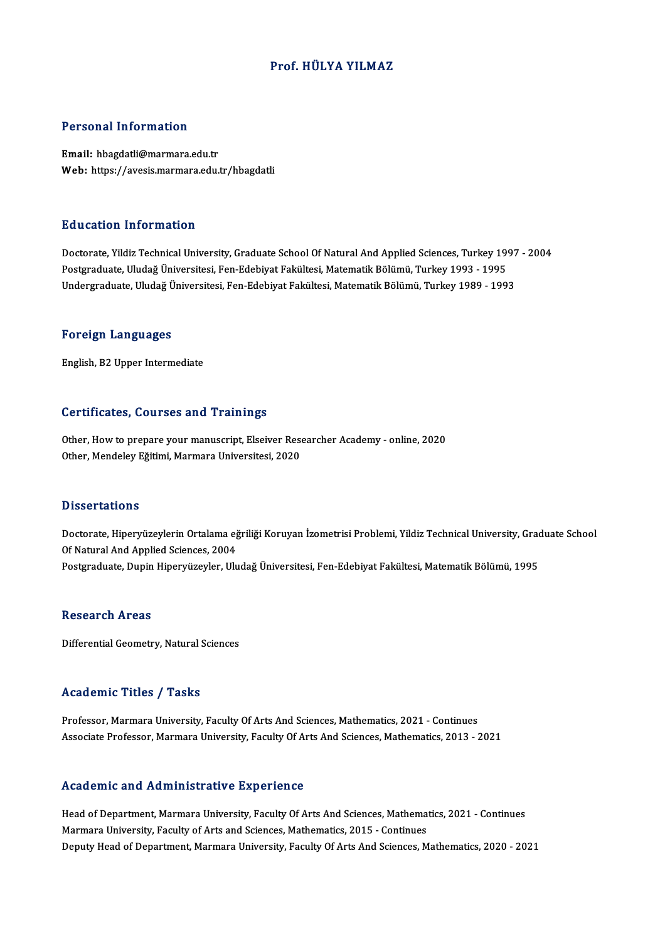# Prof.HÜLYA YILMAZ

# Personal Information

Email: hbagdatli@marmara.edu.tr Web: https://avesis.marmara.edu.tr/hbagdatli

# Education Information

Education Information<br>Doctorate, Yildiz Technical University, Graduate School Of Natural And Applied Sciences, Turkey 1997 - 2004<br>Postsraduate Uludež Üniversitesi Een Edebiyat Fekültesi Matematik Pölümü Turkey 1993 - 1995 Pu u sutron "Inton mutron"<br>Doctorate, Yildiz Technical University, Graduate School Of Natural And Applied Sciences, Turkey 19<br>Postgraduate, Uludağ Üniversitesi, Fen-Edebiyat Fakültesi, Matematik Bölümü, Turkey 1993 - 1995<br> Postgraduate, Uludağ Üniversitesi, Fen-Edebiyat Fakültesi, Matematik Bölümü, Turkey 1993 - 1995<br>Undergraduate, Uludağ Üniversitesi, Fen-Edebiyat Fakültesi, Matematik Bölümü, Turkey 1989 - 1993

## Foreign Languages

English,B2Upper Intermediate

# Certificates, Courses and Trainings

Other, How to prepare your manuscript, Elseiver Researcher Academy - online, 2020 Other, Mendeley Eğitimi, Marmara Universitesi, 2020

# **Dissertations**

Dissertations<br>Doctorate, Hiperyüzeylerin Ortalama eğriliği Koruyan İzometrisi Problemi, Yildiz Technical University, Graduate School<br>Of Natural And Annlied Sciences, 2004 *D'issoù tations<br>Doctorate, Hiperyüzeylerin Ortalama eğ<br>Of Natural And Applied Sciences, 2004<br>Postsreduate, Dunin Hiperwizeyler, Hu* Doctorate, Hiperyüzeylerin Ortalama eğriliği Koruyan İzometrisi Problemi, Yildiz Technical University, Grac<br>Of Natural And Applied Sciences, 2004<br>Postgraduate, Dupin Hiperyüzeyler, Uludağ Üniversitesi, Fen-Edebiyat Fakülte Postgraduate, Dupin Hiperyüzeyler, Uludağ Üniversitesi, Fen-Edebiyat Fakültesi, Matematik Bölümü, 1995<br>Research Areas

Differential Geometry, Natural Sciences

# Academic Titles / Tasks

Professor, Marmara University, Faculty Of Arts And Sciences, Mathematics, 2021 - Continues Associate Professor, Marmara University, Faculty Of Arts And Sciences, Mathematics, 2013 - 2021

# Academic and Administrative Experience

Head of Department, Marmara University, Faculty Of Arts And Sciences, Mathematics, 2021 - Continues Marmara University, Faculty of Arts and Sciences, Mathematics, 2015 - Continues Deputy Head of Department, Marmara University, Faculty Of Arts And Sciences, Mathematics, 2020 - 2021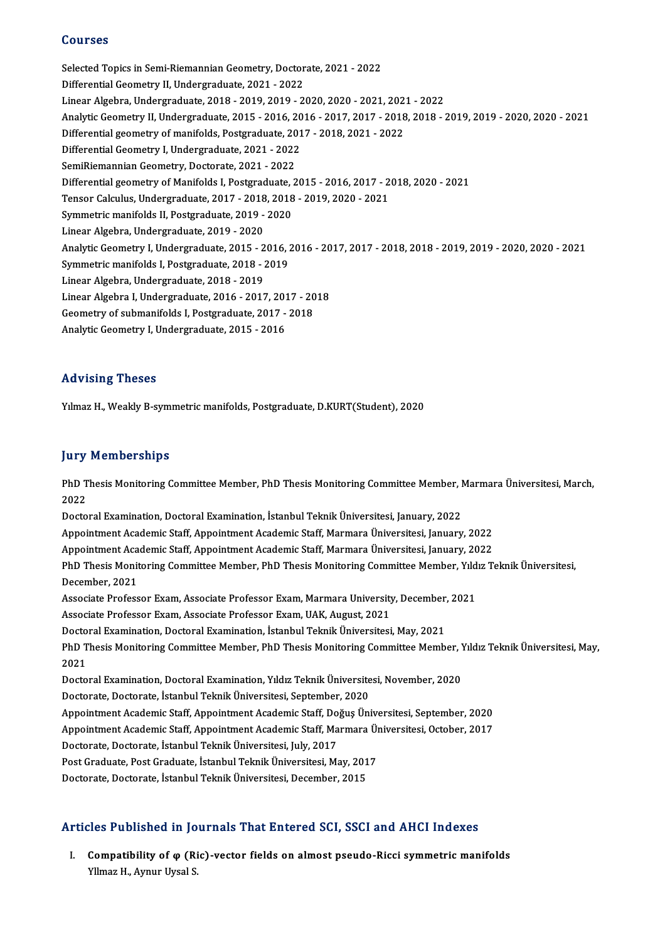# Courses

Courses<br>Selected Topics in Semi-Riemannian Geometry, Doctorate, 2021 - 2022<br>Differential Ceometry II, Undergraduate, 2021 - 2022 Selected Topics in Semi-Riemannian Geometry, Doctor<br>Differential Geometry II, Undergraduate, 2021 - 2022<br>Linear Alsohna Undergraduate, 2019 - 2019, 2019, 21 Differential Geometry II, Undergraduate, 2021 - 2022<br>Linear Algebra, Undergraduate, 2018 - 2019, 2019 - 2020, 2020 - 2021, 2021 - 2022 Differential Geometry II, Undergraduate, 2021 - 2022<br>Linear Algebra, Undergraduate, 2018 - 2019, 2019 - 2020, 2020 - 2021, 2021 - 2022<br>Analytic Geometry II, Undergraduate, 2015 - 2016, 2016 - 2017, 2017 - 2018, 2018 - 2019 Linear Algebra, Undergraduate, 2018 - 2019, 2019 - 2020, 2020 - 2021, 202<br>Analytic Geometry II, Undergraduate, 2015 - 2016, 2016 - 2017, 2017 - 2018<br>Differential geometry of manifolds, Postgraduate, 2017 - 2018, 2021 - 202 Analytic Geometry II, Undergraduate, 2015 - 2016, 20<br>Differential geometry of manifolds, Postgraduate, 201<br>Differential Geometry I, Undergraduate, 2021 - 2022<br>SemiBiamannian Geometry, Doctorate, 2021 - 2022 Differential geometry of manifolds, Postgraduate, 2017 - 2018, 2021 - 2022<br>Differential Geometry I, Undergraduate, 2021 - 2022<br>SemiRiemannian Geometry, Doctorate, 2021 - 2022 Differential Geometry I, Undergraduate, 2021 - 2022<br>SemiRiemannian Geometry, Doctorate, 2021 - 2022<br>Differential geometry of Manifolds I, Postgraduate, 2015 - 2016, 2017 - 2018, 2020 - 2021<br>Tensor Calculus Undergraduate, 2 SemiRiemannian Geometry, Doctorate, 2021 - 2022<br>Differential geometry of Manifolds I, Postgraduate, 2015 - 2016, 2017 - 2<br>Tensor Calculus, Undergraduate, 2017 - 2018, 2018 - 2019, 2020 - 2021<br>Symmetric manifolds II, Rostgr Differential geometry of Manifolds I, Postgraduate, 2018<br>Tensor Calculus, Undergraduate, 2017 - 2018, 2018<br>Symmetric manifolds II, Postgraduate, 2019 - 2020<br>Linear Algebre, Undergraduate, 2019, 2020 Tensor Calculus, Undergraduate, 2017 - 2018<br>Symmetric manifolds II, Postgraduate, 2019 -<br>Linear Algebra, Undergraduate, 2019 - 2020<br>Analytic Coometry L. Undergraduate, 2015 - 2 Symmetric manifolds II, Postgraduate, 2019 - 2020<br>Linear Algebra, Undergraduate, 2019 - 2020<br>Analytic Geometry I, Undergraduate, 2015 - 2016, 2016 - 2017, 2017 - 2018, 2018 - 2019, 2019 - 2020, 2020 - 2021 Linear Algebra, Undergraduate, 2019 - 2020<br>Analytic Geometry I, Undergraduate, 2015 - 2016, 2<br>Symmetric manifolds I, Postgraduate, 2018 - 2019<br>Linear Algebra, Undergraduate, 2018 - 2019 Analytic Geometry I, Undergraduate, 2015 - 2<br>Symmetric manifolds I, Postgraduate, 2018 - 2<br>Linear Algebra, Undergraduate, 2018 - 2019<br>Linear Algebra L Undergraduate, 2016 - 2017 Symmetric manifolds I, Postgraduate, 2018 - 2019<br>Linear Algebra, Undergraduate, 2018 - 2019<br>Linear Algebra I, Undergraduate, 2016 - 2017, 2017 - 2018<br>Ceametru of submanifolds I, Bostgraduate, 2017, 2019 Linear Algebra, Undergraduate, 2018 - 2019<br>Linear Algebra I, Undergraduate, 2016 - 2017, 2017 - 20<br>Geometry of submanifolds I, Postgraduate, 2017 - 2018<br>Analytia Coometry I, Undergraduate, 2015 - 2016 Linear Algebra I, Undergraduate, 2016 - 2017, 201<br>Geometry of submanifolds I, Postgraduate, 2017 -<br>Analytic Geometry I, Undergraduate, 2015 - 2016 Analytic Geometry I, Undergraduate, 2015 - 2016<br>Advising Theses

Yılmaz H., Weakly B-symmetric manifolds, Postgraduate, D.KURT(Student), 2020

# **Jury Memberships**

**Jury Memberships**<br>PhD Thesis Monitoring Committee Member, PhD Thesis Monitoring Committee Member, Marmara Üniversitesi, March,<br>2022 yary<br>PhD T<br>2022 PhD Thesis Monitoring Committee Member, PhD Thesis Monitoring Committee Member, I<br>2022<br>Doctoral Examination, Doctoral Examination, İstanbul Teknik Üniversitesi, January, 2022<br>Anneintment Asademie Steff, Anneintment Asademi 2022<br>Doctoral Examination, Doctoral Examination, İstanbul Teknik Üniversitesi, January, 2022<br>Appointment Academic Staff, Appointment Academic Staff, Marmara Üniversitesi, January, 2022 Doctoral Examination, Doctoral Examination, İstanbul Teknik Üniversitesi, January, 2022<br>Appointment Academic Staff, Appointment Academic Staff, Marmara Üniversitesi, January, 2022<br>Appointment Academic Staff, Appointment Ac Appointment Academic Staff, Appointment Academic Staff, Marmara Üniversitesi, January, 2022<br>Appointment Academic Staff, Appointment Academic Staff, Marmara Üniversitesi, January, 2022<br>PhD Thesis Monitoring Committee Member Appointment Aca<br>PhD Thesis Monit<br>December, 2021<br>Associato Profess PhD Thesis Monitoring Committee Member, PhD Thesis Monitoring Committee Member, Yıld<br>December, 2021<br>Associate Professor Exam, Associate Professor Exam, Marmara University, December, 2021<br>Associate Professor Exam, Associate December, 2021<br>Associate Professor Exam, Associate Professor Exam, Marmara University<br>Associate Professor Exam, Associate Professor Exam, UAK, August, 2021<br>Decterel Examination, Decterel Examination, İstanbul Telmik Üniver Associate Professor Exam, Associate Professor Exam, Marmara University, December,<br>Associate Professor Exam, Associate Professor Exam, UAK, August, 2021<br>Doctoral Examination, Doctoral Examination, İstanbul Teknik Üniversite Associate Professor Exam, Associate Professor Exam, UAK, August, 2021<br>Doctoral Examination, Doctoral Examination, İstanbul Teknik Üniversitesi, May, 2021<br>PhD Thesis Monitoring Committee Member, PhD Thesis Monitoring Commit Doctoral Examination, Doctoral Examination, İstanbul Teknik Üniversitesi, May, 2021<br>PhD Thesis Monitoring Committee Member, PhD Thesis Monitoring Committee Memb<br>2021 PhD Thesis Monitoring Committee Member, PhD Thesis Monitoring Committee Member, 1<br>2021<br>Doctoral Examination, Doctoral Examination, Yıldız Teknik Üniversitesi, November, 2020<br>Doctorate Doctorate İstanbul Teknik Üniversitesi Doctoral Examination, Doctoral Examination, Yıldız Teknik Üniversitesi, November, 2020<br>Doctorate, Doctorate, İstanbul Teknik Üniversitesi, September, 2020 Doctoral Examination, Doctoral Examination, Yıldız Teknik Üniversitesi, November, 2020<br>Doctorate, Doctorate, İstanbul Teknik Üniversitesi, September, 2020<br>Appointment Academic Staff, Appointment Academic Staff, Doğuş Ünive Doctorate, Doctorate, İstanbul Teknik Üniversitesi, September, 2020<br>Appointment Academic Staff, Appointment Academic Staff, Doğuş Üniversitesi, September, 2020<br>Appointment Academic Staff, Appointment Academic Staff, Marmar Appointment Academic Staff, Appointment Academic Staff, Do<br>Appointment Academic Staff, Appointment Academic Staff, Ma<br>Doctorate, Doctorate, İstanbul Teknik Üniversitesi, July, 2017<br>Pest Craduate, Pest Craduate, İstanbul Te Appointment Academic Staff, Appointment Academic Staff, Marmara Üniversitesi, October, 2017<br>Doctorate, Doctorate, İstanbul Teknik Üniversitesi, July, 2017<br>Post Graduate, Post Graduate, İstanbul Teknik Üniversitesi, May, 20 Post Graduate, Post Graduate, İstanbul Teknik Üniversitesi, May, 2017

# Doctorate, Doctorate, Istanbul Teknik Universitesi, December, 2015<br>Articles Published in Journals That Entered SCI, SSCI and AHCI Indexes

rticles Published in Journals That Entered SCI, SSCI and AHCI Indexes<br>I. Compatibility of φ (Ric)-vector fields on almost pseudo-Ricci symmetric manifolds<br>Xllmag H Aymur Uygal S Compatibility of  $\varphi$  (Ric)-vector fields on almost pseudo-Ricci symmetric manifolds<br>Yllmaz H., Aynur Uysal S.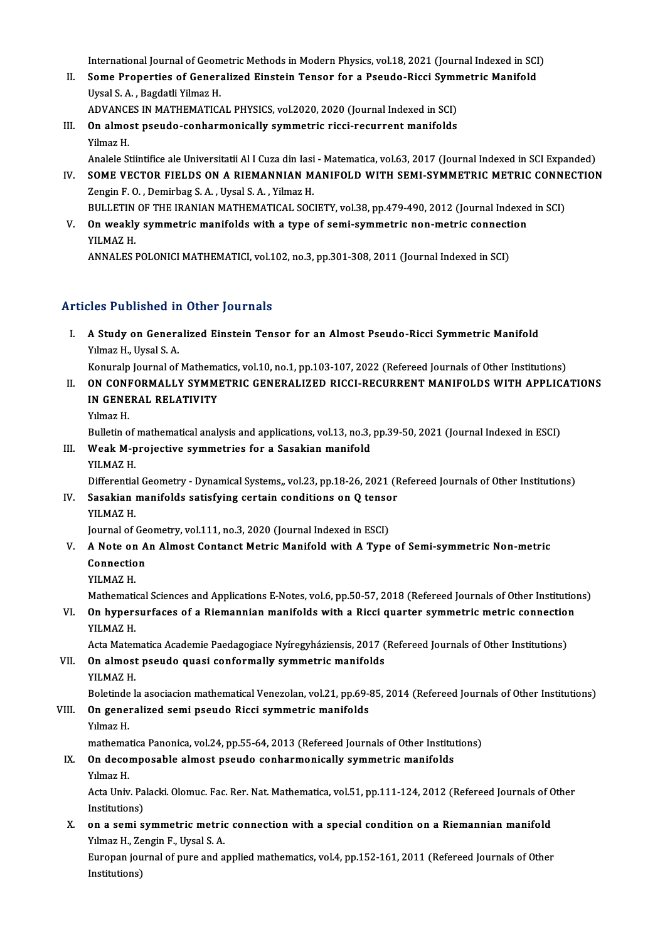International Journal of Geometric Methods in Modern Physics, vol.18, 2021 (Journal Indexed in SCI)<br>Some Properties of Conoralized Einstein Tensor for a Peoude Piesi Symmetric Monifold

- International Journal of Geometric Methods in Modern Physics, vol.18, 2021 (Journal Indexed in SCI<br>II. Some Properties of Generalized Einstein Tensor for a Pseudo-Ricci Symmetric Manifold International Journal of Geom<br>Some Properties of Genera<br>Uysal S. A. , Bagdatli Yilmaz H.<br>ADVANCES IN MATHEMATIC Some Properties of Generalized Einstein Tensor for a Pseudo-Ricci Symn<br>Uysal S. A. , Bagdatli Yilmaz H.<br>ADVANCES IN MATHEMATICAL PHYSICS, vol.2020, 2020 (Journal Indexed in SCI)<br>On elmest neaude senhermeniselly symmetric r
- Uysal S. A. , Bagdatli Yilmaz H.<br>ADVANCES IN MATHEMATICAL PHYSICS, vol.2020, 2020 (Journal Indexed in SCI)<br>III. On almost pseudo-conharmonically symmetric ricci-recurrent manifolds<br>Yilmaz H. ADVANCES IN MATHEMATICAL PHYSICS, vol.2020, 2020 (Journal Indexed in SCI) On almost pseudo-conharmonically symmetric ricci-recurrent manifolds<br>Yilmaz H.<br>Analele Stiintifice ale Universitatii Al I Cuza din Iasi - Matematica, vol.63, 2017 (Journal Indexed in SCI Expanded)<br>SOME VECTOR EIELDS ON A R
	-
- IV. SOME VECTOR FIELDS ON A RIEMANNIAN MANIFOLD WITH SEMI-SYMMETRIC METRIC CONNECTION<br>Zengin F. O., Demirbag S. A., Uysal S. A., Yilmaz H. Analele Stiintifice ale Universitatii Al I Cuza din Iasi<br>SOME VECTOR FIELDS ON A RIEMANNIAN M<br>Zengin F. O. , Demirbag S. A. , Uysal S. A. , Yilmaz H.<br>PULLETIN OF THE IPANIAN MATHEMATICAL SOC SOME VECTOR FIELDS ON A RIEMANNIAN MANIFOLD WITH SEMI-SYMMETRIC METRIC CONNE<br>Zengin F. O. , Demirbag S. A. , Uysal S. A. , Yilmaz H.<br>BULLETIN OF THE IRANIAN MATHEMATICAL SOCIETY, vol.38, pp.479-490, 2012 (Journal Indexed i

Zengin F. O. , Demirbag S. A. , Uysal S. A. , Yilmaz H.<br>BULLETIN OF THE IRANIAN MATHEMATICAL SOCIETY, vol.38, pp.479-490, 2012 (Journal Indexed<br>V. On weakly symmetric manifolds with a type of semi-symmetric non-metric conn BULLETIN<br>On weakly<br>YILMAZ H.<br>ANNALES 1 On weakly symmetric manifolds with a type of semi-symmetric non-metric connecti<br>YILMAZ H.<br>ANNALES POLONICI MATHEMATICI, vol.102, no.3, pp.301-308, 2011 (Journal Indexed in SCI)

ANNALES POLONICI MATHEMATICI, vol.102, no.3, pp.301-308, 2011 (Journal Indexed in SCI)<br>Articles Published in Other Journals

rticles Published in Other Journals<br>I. A Study on Generalized Einstein Tensor for an Almost Pseudo-Ricci Symmetric Manifold<br>Xylmas H. Urgel S. A XICS TUBLISHED THE<br>A Study on Genera<br>Yılmaz H., Uysal S. A. A Study on Generalized Einstein Tensor for an Almost Pseudo-Ricci Symmetric Manifold<br>Yılmaz H., Uysal S. A.<br>Konuralp Journal of Mathematics, vol.10, no.1, pp.103-107, 2022 (Refereed Journals of Other Institutions)<br>ON CONEO

Yılmaz H., Uysal S. A.<br>Konuralp Journal of Mathematics, vol.10, no.1, pp.103-107, 2022 (Refereed Journals of Other Institutions)<br>II. ON CONFORMALLY SYMMETRIC GENERALIZED RICCI-RECURRENT MANIFOLDS WITH APPLICATIONS<br>IN CENER Konuralp Journal of Mathematics, vol.10, no.1, pp.103-107, 2022 (Refereed Journals of Other Institutions)<br>ON CONFORMALLY SYMMETRIC GENERALIZED RICCI-RECURRENT MANIFOLDS WITH APPLICA<br>IN GENERAL RELATIVITY<br>Yılmaz H. **ON CONE<br>IN GENE<br>Yılmaz H.**<br>Pullatin e IN GENERAL RELATIVITY<br>Yılmaz H.<br>Bulletin of mathematical analysis and applications, vol.13, no.3, pp.39-50, 2021 (Journal Indexed in ESCI)<br>Weak Manajastive symmetries for a Sasakian manifold

Yılmaz H.<br>Bulletin of mathematical analysis and applications, vol.13, no.3,<br>III. Weak M-projective symmetries for a Sasakian manifold<br>VII MAZ H Bulletin of<br>Weak M-p<br>YILMAZ H.<br>Differentie Weak M-projective symmetries for a Sasakian manifold<br>YILMAZ H.<br>Differential Geometry - Dynamical Systems,, vol.23, pp.18-26, 2021 (Refereed Journals of Other Institutions)

YILMAZ H.<br>Differential Geometry - Dynamical Systems,, vol.23, pp.18-26, 2021 (F<br>IV. Sasakian manifolds satisfying certain conditions on Q tensor<br>VILMAZ H Differentia<br>Sasakian<br>YILMAZ H.<br>Journal of t Sasakian manifolds satisfying certain conditions on Q tenso<br>YILMAZ H.<br>Journal of Geometry, vol.111, no.3, 2020 (Journal Indexed in ESCI)<br>A Note on An Almest Centenst Metric Manifold with A Tyne

- YILMAZ H.<br>Journal of Geometry, vol.111, no.3, 2020 (Journal Indexed in ESCI)<br>V. A Note on An Almost Contanct Metric Manifold with A Type of Semi-symmetric Non-metric<br>Connection Journal of Ge<br>A Note on A<br>Connection<br>VII MA7 H A Note on<br>Connectio<br>YILMAZ H.<br>Mathemati Connection<br>Mathematical Sciences and Applications E-Notes, vol.6, pp.50-57, 2018 (Refereed Journals of Other Institutions)<br>Mathematical Sciences and Applications E-Notes, vol.6, pp.50-57, 2018 (Refereed Journals of Other I
	-

YILMAZ H.<br>Mathematical Sciences and Applications E-Notes, vol.6, pp.50-57, 2018 (Refereed Journals of Other Institution<br>VI. On hypersurfaces of a Riemannian manifolds with a Ricci quarter symmetric metric connection<br>VII MA Mathemation<br>**On hypers**<br>YILMAZ H. On hypersurfaces of a Riemannian manifolds with a Ricci quarter symmetric metric connection<br>Acta Matematica Academie Paedagogiace Nyíregyháziensis, 2017 (Refereed Journals of Other Institutions)<br>On almost psoude quasi sonf

YILMAZ H.<br>Acta Matematica Academie Paedagogiace Nyíregyháziensis, 2017 (<br>VII. On almost pseudo quasi conformally symmetric manifolds<br>VII MAZ H Acta Maten<br>**On almost**<br>YILMAZ H.<br>Polatinde l

YILMAZ H.<br>Boletinde la asociacion mathematical Venezolan, vol.21, pp.69-85, 2014 (Refereed Journals of Other Institutions)

YILMAZ H.<br>Boletinde la asociacion mathematical Venezolan, vol.21, pp.69-t<br>VIII. On generalized semi pseudo Ricci symmetric manifolds<br>Vilmar H Boletinde<br>**On gene**r<br>Yılmaz H.<br>mathema:

Yilmaz H.<br>mathematica Panonica, vol.24, pp.55-64, 2013 (Refereed Journals of Other Institutions)

- Yılmaz H.<br>mathematica Panonica, vol.24, pp.55-64, 2013 (Refereed Journals of Other Institution<br>IX. On decomposable almost pseudo conharmonically symmetric manifolds<br>Valmes H mathema<br>**On deco**<br>Yılmaz H.<br>Acta Univ
	-

On decomposable almost pseudo conharmonically symmetric manifolds<br>Yılmaz H.<br>Acta Univ. Palacki. Olomuc. Fac. Rer. Nat. Mathematica, vol.51, pp.111-124, 2012 (Refereed Journals of Other<br>Institutione) Yılmaz H.<br>Acta Univ. Pa<br>Institutions)<br>on a somi sı Acta Univ. Palacki. Olomuc. Fac. Rer. Nat. Mathematica, vol.51, pp.111-124, 2012 (Refereed Journals of C<br>Institutions)<br>X. on a semi symmetric metric connection with a special condition on a Riemannian manifold<br>Vilman H. Zo

Institutions)<br>**on a semi symmetric metric**<br>Yılmaz H., Zengin F., Uysal S. A.<br>Europen journal of nure and a on a semi symmetric metric connection with a special condition on a Riemannian manifold<br>Yılmaz H., Zengin F., Uysal S. A.<br>Europan journal of pure and applied mathematics, vol.4, pp.152-161, 2011 (Refereed Journals of Other

Yılmaz H., Ze<br>Europan jou<br>Institutions)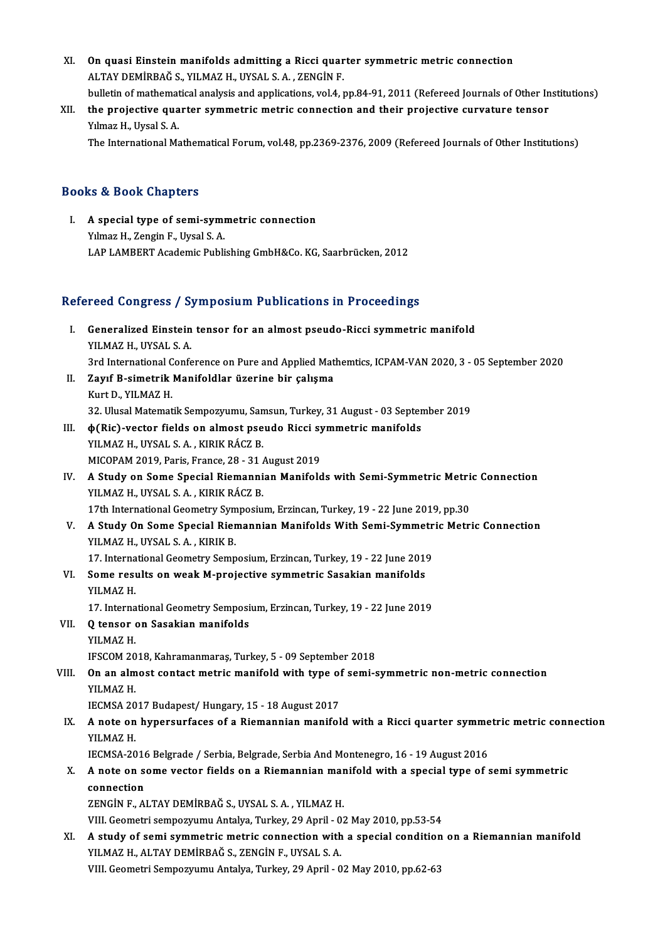- XI. On quasi Einstein manifolds admitting a Ricci quarter symmetric metric connection<br>ALTAV REMIRRAČ S. VILMAZ H. UVSAL S.A., ZENCIN E )<br>ALTAY DEMİRBAĞ S., YILMAZ H., UYSAL S. A. , ZENGİN F.<br>bullatin of mathematical analysis and annlisations, yol 4 . On quasi Einstein manifolds admitting a Ricci quarter symmetric metric connection<br>ALTAY DEMİRBAĞ S., YILMAZ H., UYSAL S. A. , ZENGİN F.<br>bulletin of mathematical analysis and applications, vol.4, pp.84-91, 2011 (Refereed Jo ALTAY DEMIRBAĞ S., YILMAZ H., UYSAL S. A. , ZENGİN F.<br>bulletin of mathematical analysis and applications, vol.4, pp.84-91, 2011 (Refereed Journals of Other Ir<br>XII. the projective quarter symmetric metric connection and the
- bulletin of mathemat<br>the projective qua<br>Yılmaz H., Uysal S. A.<br>The International Me

The International Mathematical Forum, vol.48, pp.2369-2376, 2009 (Refereed Journals of Other Institutions)

# Books&Book Chapters

ooks & Book Chapters<br>I. A special type of semi-symmetric connection<br>Vilmer H. Zongin E. Uvgel S.A. No di Doon dhapters<br>A special type of semi-symi<br>Yılmaz H., Zengin F., Uysal S. A. Yılmaz H., Zengin F., Uysal S. A.<br>LAP LAMBERT Academic Publishing GmbH&Co. KG, Saarbrücken, 2012

# Refereed Congress / Symposium Publications in Proceedings

- efereed Congress / Symposium Publications in Proceedings<br>I. Generalized Einstein tensor for an almost pseudo-Ricci symmetric manifold<br>VILMAZH JIVSAL S A Your doing test 7 b.<br>Generalized Einstein<br>YILMAZ H., UYSAL S. A. Generalized Einstein tensor for an almost pseudo-Ricci symmetric manifold<br>YILMAZ H., UYSAL S. A.<br>3rd International Conference on Pure and Applied Mathemtics, ICPAM-VAN 2020, 3 - 05 September 2020<br>Zawf B. simetrik Manifoldl YILMAZ H., UYSAL S. A.<br>3rd International Conference on Pure and Applied Mat<br>II. **Zayıf B-simetrik Manifoldlar üzerine bir çalışma**<br>Kurt D., YILMAZ H.
- 3rd International C<br>**Zayıf B-simetrik**<br>Kurt D., YILMAZ H.<br><sup>22. Husal Matamat</sup> Zayıf B-simetrik Manifoldlar üzerine bir çalışma<br>Kurt D., YILMAZ H.<br>32. Ulusal Matematik Sempozyumu, Samsun, Turkey, 31 August - 03 September 2019<br>A(Bis), vester fields en almest neaude Bissi summetris manifolds. Kurt D., YILMAZ H.<br>32. Ulusal Matematik Sempozyumu, Samsun, Turkey, 31 August - 03 Septer<br>III. (φ(Ric)-vector fields on almost pseudo Ricci symmetric manifolds<br>VII MAZ H. IIVSALS A., KIPIK RÁCZ R
- 32. Ulusal Matematik Sempozyumu, San<br>φ(Ric)-vector fields on almost pse<br>YILMAZ H., UYSAL S. A. , KIRIK RÁCZ B.<br>MICORAM 2019. Peris. Erance 28, 21. **(Ric)-vector fields on almost pseudo Ricci sy<br>2019 - YILMAZ H., UYSAL S. A. , KIRIK RÁCZ B.<br>MICOPAM 2019, Paris, France, 28 - 31 August 2019<br>A Study on Some Special Biemennian Menifold**
- YILMAZ H., UYSAL S. A. , KIRIK RÁCZ B.<br>MICOPAM 2019, Paris, France, 28 31 August 2019<br>IV. A Study on Some Special Riemannian Manifolds with Semi-Symmetric Metric Connection<br>VILMAZ H. IWSAL S. A., KIRIK RÁCZ R. MICOPAM 2019, Paris, France, 28 - 31 /<br>A Study on Some Special Riemanni<br>YILMAZ H., UYSAL S. A. , KIRIK RÁCZ B.<br>17th International Geometry Symnesiy. 17th International Geometric Metric Metri<br>19th International Geometry Symposium, Erzincan, Turkey, 19 - 22 June 2019, pp.30<br>17th International Geometry Symposium, Erzincan, Turkey, 19 - 22 June 2019, pp.30<br>A Study On Some YILMAZ H., UYSAL S. A. , KIRIK RÁCZ B.<br>17th International Geometry Symposium, Erzincan, Turkey, 19 - 22 June 2019, pp.30<br>V. A Study On Some Special Riemannian Manifolds With Semi-Symmetric Metric Connection<br>VILMAZ H. UYSAL
- 17th International Geometry Symposium, Erzincan, Turkey, 19 22 June 2019, pp.30<br>A Study On Some Special Riemannian Manifolds With Semi-Symmetric Metr<br>YILMAZ H., UYSAL S.A., KIRIK B.<br>17. International Geometry Semposium, 17. It also also a Special Riemannian Manifolds With Semi-Symmetry VILMAZ H., UYSAL S. A., KIRIK B.<br>17. International Geometry Semposium, Erzincan, Turkey, 19 - 22 June 2019<br>Seme results en week M prejective symmetris Sese
	-
- YILMAZ H., UYSAL S. A. , KIRIK B.<br>17. International Geometry Semposium, Erzincan, Turkey, 19 22 June 2019<br>VI. Some results on weak M-projective symmetric Sasakian manifolds<br>VII MAZ H 17. Interna<br>Some resu<br>YILMAZ H.<br>17. Interna Some results on weak M-projective symmetric Sasakian manifolds<br>YILMAZ H.<br>17. International Geometry Semposium, Erzincan, Turkey, 19 - 22 June 2019<br>O tensor on Sasakian manifolds YILMAZ H.<br>17. International Geometry Semposium, Erzincan, Turkey, 19 - 22 June 2019<br>VII. O tensor on Sasakian manifolds
	-
- YILMAZ H. Q tensor on Sasakian manifolds<br>YILMAZ H.<br>IFSCOM 2018, Kahramanmaraş, Turkey, 5 - 09 September 2018<br>On an almast santast matris manifold with tune of sami s
- YILMAZ H.<br>IFSCOM 2018, Kahramanmaraş, Turkey, 5 09 September 2018<br>VIII. On an almost contact metric manifold with type of semi-symmetric non-metric connection<br>VII MAZ H IFSCOM 20<br>**On an alm**<br>YILMAZ H.<br>JECMSA 20 On an almost contact metric manifold with type of<br>IECMSA 2017 Budapest/Hungary, 15 - 18 August 2017<br>A note on hypersurfaces of a Biamannian manifol
	-
	- YILMAZ H.<br>IECMSA 2017 Budapest/ Hungary, 15 18 August 2017<br>IX. A note on hypersurfaces of a Riemannian manifold with a Ricci quarter symmetric metric connection<br>VILMAZ H IECMSA 2017 Budapest/Hungary, 15 - 18 August 2017<br> **A note on hypersurfaces of a Riemannian manifold with a Ricci quarter symme**<br>
	YILMAZ H.<br>
	IECMSA-2016 Belgrade / Serbia, Belgrade, Serbia And Montenegro, 16 - 19 August 20 A note on hypersurfaces of a Riemannian manifold with a Ricci quarter symme<br>IECMSA-2016 Belgrade / Serbia, Belgrade, Serbia And Montenegro, 16 - 19 August 2016<br>A note on some vector fields on a Biomannian manifold with a s

YILMAZ H.<br>IECMSA-2016 Belgrade / Serbia, Belgrade, Serbia And Montenegro, 16 - 19 August 2016<br>X. A note on some vector fields on a Riemannian manifold with a special type of semi symmetric<br>connection **IECMSA-2016**<br>**A** note on seconnection<br>**ZEMCIME** A A note on some vector fields on a Riemannian mar<br>connection<br>ZENGİN F., ALTAY DEMİRBAĞ S., UYSAL S.A. , YILMAZ H.<br>VIII. Coometri comnomumu Antalya Turkay 29 Anril - 93 connection<br>ZENGİN F., ALTAY DEMİRBAĞ S., UYSAL S. A. , YILMAZ H.<br>VIII. Geometri sempozyumu Antalya, Turkey, 29 April - 02 May 2010, pp.53-54

ZENGIN F., ALTAY DEMIRBAĞ S., UYSAL S. A. , YILMAZ H.<br>VIII. Geometri sempozyumu Antalya, Turkey, 29 April - 02 May 2010, pp.53-54<br>XI. A study of semi symmetric metric connection with a special condition on a Riemannian man VIII. Geometri sempozyumu Antalya, Turkey, 29 April - 0<br>A study of semi symmetric metric connection with<br>YILMAZ H., ALTAY DEMİRBAĞ S., ZENGİN F., UYSAL S. A.<br>VIII. Geometri Semperuymu Antalya Turkey, 29 April - 0 A study of semi symmetric metric connection with a special condition<br>YILMAZ H., ALTAY DEMİRBAĞ S., ZENGİN F., UYSAL S. A.<br>VIII. Geometri Sempozyumu Antalya, Turkey, 29 April - 02 May 2010, pp.62-63